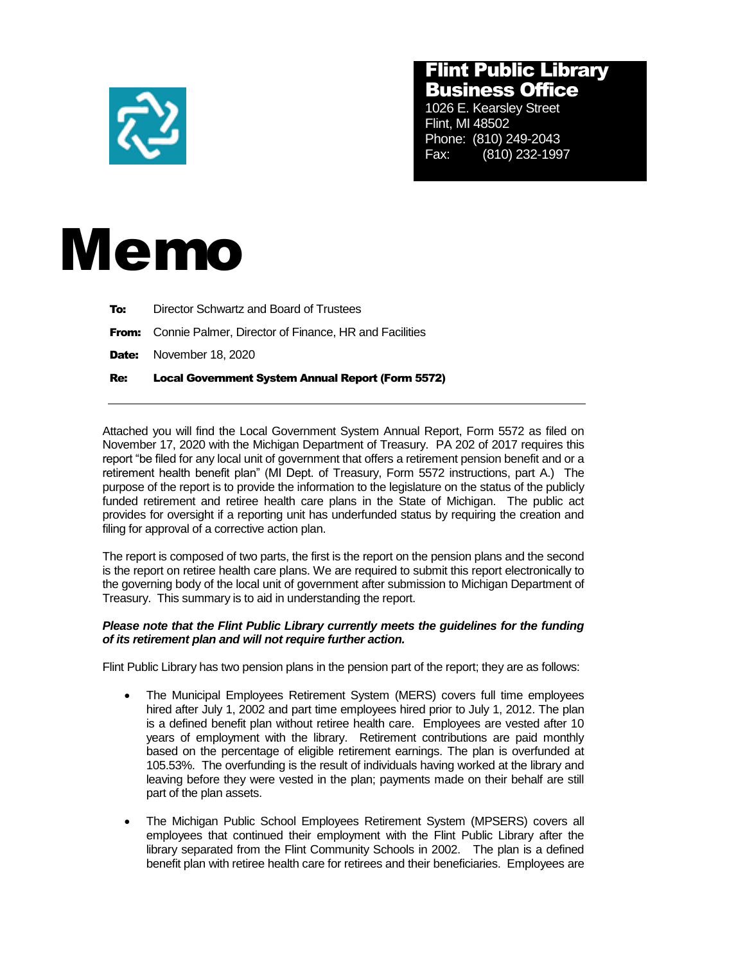

## Flint Public Library Business Office

1026 E. Kearsley Street Flint, MI 48502 Phone: (810) 249-2043 Fax: (810) 232-1997



| Re: | <b>Local Government System Annual Report (Form 5572)</b>           |
|-----|--------------------------------------------------------------------|
|     | <b>Date:</b> November 18, 2020                                     |
|     | <b>From:</b> Connie Palmer, Director of Finance, HR and Facilities |
| To: | Director Schwartz and Board of Trustees                            |

Attached you will find the Local Government System Annual Report, Form 5572 as filed on November 17, 2020 with the Michigan Department of Treasury. PA 202 of 2017 requires this report "be filed for any local unit of government that offers a retirement pension benefit and or a retirement health benefit plan" (MI Dept. of Treasury, Form 5572 instructions, part A.) The purpose of the report is to provide the information to the legislature on the status of the publicly funded retirement and retiree health care plans in the State of Michigan. The public act provides for oversight if a reporting unit has underfunded status by requiring the creation and filing for approval of a corrective action plan.

The report is composed of two parts, the first is the report on the pension plans and the second is the report on retiree health care plans. We are required to submit this report electronically to the governing body of the local unit of government after submission to Michigan Department of Treasury. This summary is to aid in understanding the report.

## *Please note that the Flint Public Library currently meets the guidelines for the funding of its retirement plan and will not require further action.*

Flint Public Library has two pension plans in the pension part of the report; they are as follows:

- The Municipal Employees Retirement System (MERS) covers full time employees hired after July 1, 2002 and part time employees hired prior to July 1, 2012. The plan is a defined benefit plan without retiree health care. Employees are vested after 10 years of employment with the library. Retirement contributions are paid monthly based on the percentage of eligible retirement earnings. The plan is overfunded at 105.53%. The overfunding is the result of individuals having worked at the library and leaving before they were vested in the plan; payments made on their behalf are still part of the plan assets.
- The Michigan Public School Employees Retirement System (MPSERS) covers all employees that continued their employment with the Flint Public Library after the library separated from the Flint Community Schools in 2002. The plan is a defined benefit plan with retiree health care for retirees and their beneficiaries. Employees are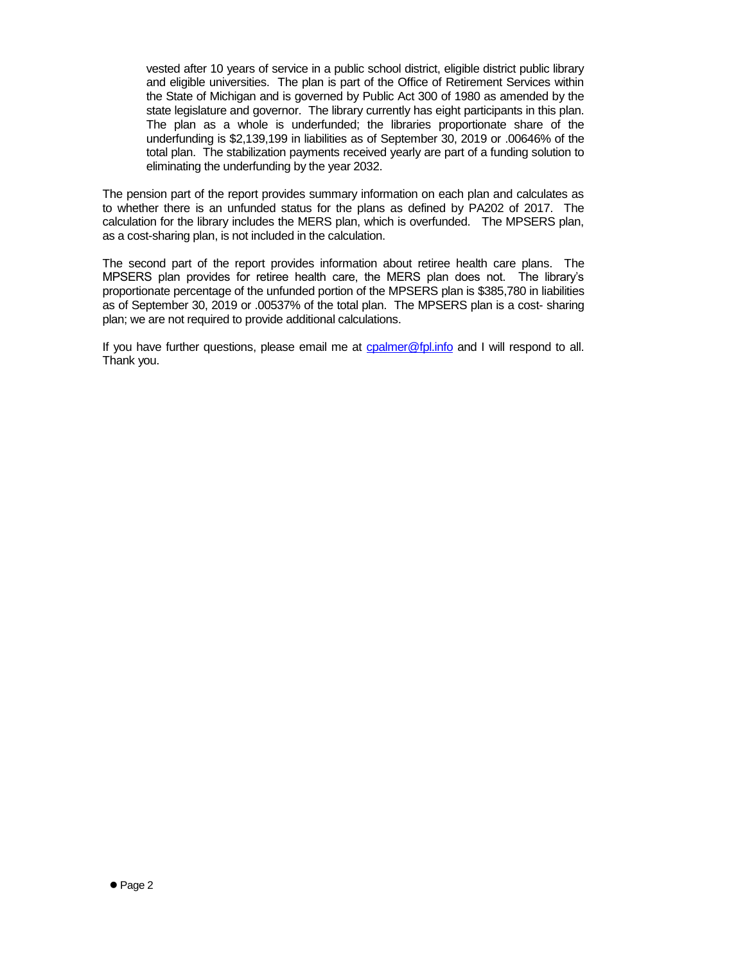vested after 10 years of service in a public school district, eligible district public library and eligible universities. The plan is part of the Office of Retirement Services within the State of Michigan and is governed by Public Act 300 of 1980 as amended by the state legislature and governor. The library currently has eight participants in this plan. The plan as a whole is underfunded; the libraries proportionate share of the underfunding is \$2,139,199 in liabilities as of September 30, 2019 or .00646% of the total plan. The stabilization payments received yearly are part of a funding solution to eliminating the underfunding by the year 2032.

The pension part of the report provides summary information on each plan and calculates as to whether there is an unfunded status for the plans as defined by PA202 of 2017. The calculation for the library includes the MERS plan, which is overfunded. The MPSERS plan, as a cost-sharing plan, is not included in the calculation.

The second part of the report provides information about retiree health care plans. The MPSERS plan provides for retiree health care, the MERS plan does not. The library's proportionate percentage of the unfunded portion of the MPSERS plan is \$385,780 in liabilities as of September 30, 2019 or .00537% of the total plan. The MPSERS plan is a cost- sharing plan; we are not required to provide additional calculations.

If you have further questions, please email me at [cpalmer@fpl.info](mailto:cpalmer@fpl.info) and I will respond to all. Thank you.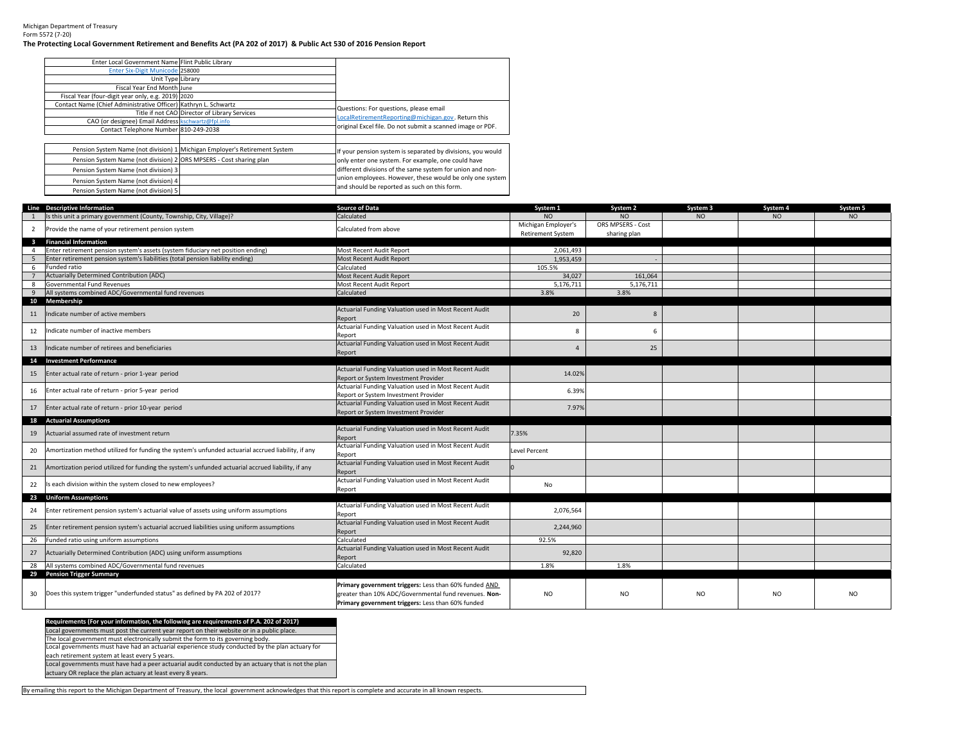Michigan Department of TreasuryForm 5572 (7-20)

## **The Protecting Local Government Retirement and Benefits Act (PA 202 of 2017) & Public Act 530 of 2016 Pension Report**

| Enter Local Government Name Flint Public Library                    |                                                                            |                                                             |
|---------------------------------------------------------------------|----------------------------------------------------------------------------|-------------------------------------------------------------|
| Enter Six-Digit Municode 258000                                     |                                                                            |                                                             |
| Unit Type Library                                                   |                                                                            |                                                             |
| Fiscal Year End Month June                                          |                                                                            |                                                             |
| Fiscal Year (four-digit year only, e.g. 2019) 2020                  |                                                                            |                                                             |
| Contact Name (Chief Administrative Officer) Kathryn L. Schwartz     |                                                                            | Questions: For questions, please email                      |
|                                                                     | Title if not CAO Director of Library Services                              | LocalRetirementReporting@michigan.gov. Return this          |
| CAO (or designee) Email Address kschwartz@fpl.info                  |                                                                            |                                                             |
| Contact Telephone Number 810-249-2038                               |                                                                            | original Excel file. Do not submit a scanned image or PDF.  |
|                                                                     |                                                                            |                                                             |
|                                                                     | Pension System Name (not division) 1 Michigan Employer's Retirement System | If your pension system is separated by divisions, you would |
| Pension System Name (not division) 2 ORS MPSERS - Cost sharing plan |                                                                            | only enter one system. For example, one could have          |
| Pension System Name (not division) 3                                |                                                                            | different divisions of the same system for union and non-   |
| Pension System Name (not division) 4                                |                                                                            | union employees. However, these would be only one system    |
| Pension System Name (not division) 5                                |                                                                            | and should be reported as such on this form.                |

|                         | Line Descriptive Information                                                                       | <b>Source of Data</b>                                                                         | System 1                 | System 2          | System 3       | System 4 | System 5 |
|-------------------------|----------------------------------------------------------------------------------------------------|-----------------------------------------------------------------------------------------------|--------------------------|-------------------|----------------|----------|----------|
|                         | Is this unit a primary government (County, Township, City, Village)?                               | Calculated                                                                                    | NO.                      | NO.               | NO             | NO       | NO       |
| $\overline{2}$          | Provide the name of your retirement pension system                                                 | Calculated from above                                                                         | Michigan Employer's      | ORS MPSERS - Cost |                |          |          |
|                         |                                                                                                    |                                                                                               | <b>Retirement System</b> | sharing plan      |                |          |          |
| $\overline{\mathbf{3}}$ | <b>Financial Information</b>                                                                       |                                                                                               |                          |                   |                |          |          |
|                         | Enter retirement pension system's assets (system fiduciary net position ending)                    | Most Recent Audit Report                                                                      | 2,061,493                |                   |                |          |          |
|                         | Enter retirement pension system's liabilities (total pension liability ending)                     | Most Recent Audit Report                                                                      | 1,953,459                |                   |                |          |          |
| -6                      | Funded ratio                                                                                       | Calculated                                                                                    | 105.5%                   |                   |                |          |          |
|                         | <b>Actuarially Determined Contribution (ADC)</b>                                                   | Most Recent Audit Report                                                                      | 34,027                   | 161.064           |                |          |          |
|                         | Governmental Fund Revenues                                                                         | Most Recent Audit Report                                                                      | 5,176,711                | 5,176,711         |                |          |          |
|                         | All systems combined ADC/Governmental fund revenues                                                | Calculated                                                                                    | 3.8%                     | 3.8%              |                |          |          |
| 10                      | Membership                                                                                         |                                                                                               |                          |                   |                |          |          |
| 11                      | Indicate number of active members                                                                  | Actuarial Funding Valuation used in Most Recent Audit                                         | 20                       | 8                 |                |          |          |
|                         |                                                                                                    | Report                                                                                        |                          |                   |                |          |          |
| 12                      | Indicate number of inactive members                                                                | Actuarial Funding Valuation used in Most Recent Audit                                         | 8                        | -6                |                |          |          |
|                         |                                                                                                    | Report                                                                                        |                          |                   |                |          |          |
| 13                      | Indicate number of retirees and beneficiaries                                                      | Actuarial Funding Valuation used in Most Recent Audit                                         | $\overline{4}$           | 25                |                |          |          |
|                         |                                                                                                    | Report                                                                                        |                          |                   |                |          |          |
|                         | 14 Investment Performance                                                                          | Actuarial Funding Valuation used in Most Recent Audit                                         |                          |                   |                |          |          |
| 15                      | Enter actual rate of return - prior 1-year period                                                  |                                                                                               | 14.02%                   |                   |                |          |          |
|                         |                                                                                                    | <b>Report or System Investment Provider</b>                                                   |                          |                   |                |          |          |
| 16                      | Enter actual rate of return - prior 5-year period                                                  | Actuarial Funding Valuation used in Most Recent Audit<br>Report or System Investment Provider | 6.39%                    |                   |                |          |          |
|                         |                                                                                                    | Actuarial Funding Valuation used in Most Recent Audit                                         |                          |                   |                |          |          |
| 17                      | Enter actual rate of return - prior 10-year period                                                 | Report or System Investment Provider                                                          | 7.97%                    |                   |                |          |          |
| 18                      | <b>Actuarial Assumptions</b>                                                                       |                                                                                               |                          |                   |                |          |          |
|                         |                                                                                                    | Actuarial Funding Valuation used in Most Recent Audit                                         |                          |                   |                |          |          |
| 19                      | Actuarial assumed rate of investment return                                                        | Report                                                                                        | 7.35%                    |                   |                |          |          |
|                         |                                                                                                    | Actuarial Funding Valuation used in Most Recent Audit                                         |                          |                   |                |          |          |
| 20                      | Amortization method utilized for funding the system's unfunded actuarial accrued liability, if any | Report                                                                                        | <b>Level Percent</b>     |                   |                |          |          |
|                         |                                                                                                    | Actuarial Funding Valuation used in Most Recent Audit                                         |                          |                   |                |          |          |
| 21                      | Amortization period utilized for funding the system's unfunded actuarial accrued liability, if any | Report                                                                                        |                          |                   |                |          |          |
|                         | Is each division within the system closed to new employees?                                        | Actuarial Funding Valuation used in Most Recent Audit                                         | No                       |                   |                |          |          |
| 22                      |                                                                                                    | Report                                                                                        |                          |                   |                |          |          |
|                         | 23 Uniform Assumptions                                                                             |                                                                                               |                          |                   |                |          |          |
| 24                      | Enter retirement pension system's actuarial value of assets using uniform assumptions              | Actuarial Funding Valuation used in Most Recent Audit                                         | 2,076,564                |                   |                |          |          |
|                         |                                                                                                    | Report                                                                                        |                          |                   |                |          |          |
| 25                      | Enter retirement pension system's actuarial accrued liabilities using uniform assumptions          | Actuarial Funding Valuation used in Most Recent Audit                                         | 2,244,960                |                   |                |          |          |
|                         |                                                                                                    | Report                                                                                        |                          |                   |                |          |          |
| 26                      | Funded ratio using uniform assumptions                                                             | Calculated                                                                                    | 92.5%                    |                   |                |          |          |
| 27                      | Actuarially Determined Contribution (ADC) using uniform assumptions                                | Actuarial Funding Valuation used in Most Recent Audit                                         | 92,820                   |                   |                |          |          |
|                         |                                                                                                    | Report                                                                                        |                          |                   |                |          |          |
| 28                      | All systems combined ADC/Governmental fund revenues<br>29 Pension Trigger Summary                  | Calculated                                                                                    | 1.8%                     | 1.8%              |                |          |          |
|                         |                                                                                                    |                                                                                               |                          |                   |                |          |          |
|                         |                                                                                                    | Primary government triggers: Less than 60% funded AND                                         |                          |                   |                |          |          |
| 30                      | Does this system trigger "underfunded status" as defined by PA 202 of 2017?                        | greater than 10% ADC/Governmental fund revenues. Non-                                         | <b>NO</b>                | N <sub>O</sub>    | N <sub>O</sub> | NO.      | NO.      |
|                         |                                                                                                    | Primary government triggers: Less than 60% funded                                             |                          |                   |                |          |          |

**Requirements (For your information, the following are requirements of P.A. 202 of 2017)** Local governments must post the current year report on their website or in a public place.Local governments must have had an actuarial experience study conducted by the plan actuary for The local government must electronically submit the form to its governing body.

each retirement system at least every 5 years.

Local governments must have had a peer actuarial audit conducted by an actuary that is not the plan

actuary OR replace the plan actuary at least every 8 years.

By emailing this report to the Michigan Department of Treasury, the local government acknowledges that this report is complete and accurate in all known respects.